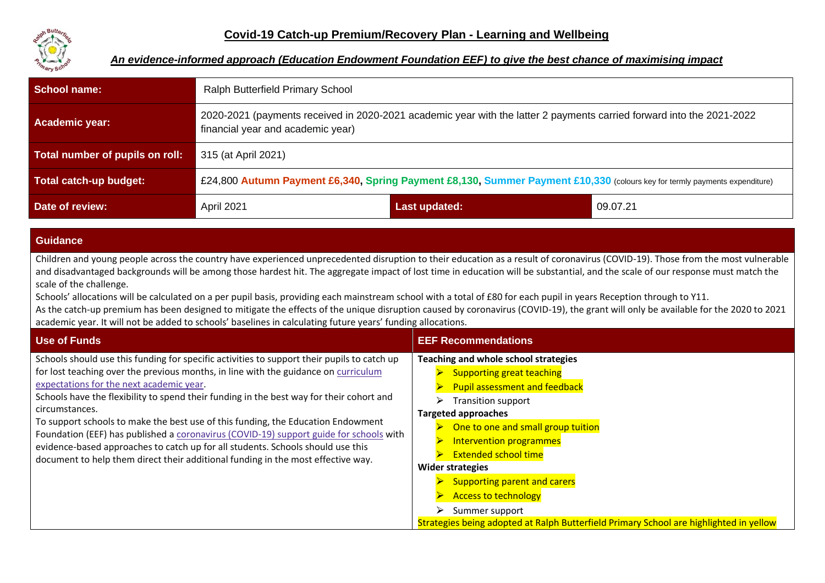

#### *An evidence-informed approach (Education Endowment Foundation EEF) to give the best chance of maximising impact*

| <b>School name:</b>             | Ralph Butterfield Primary School                                                                                                                           |               |          |  |
|---------------------------------|------------------------------------------------------------------------------------------------------------------------------------------------------------|---------------|----------|--|
| Academic year:                  | 2020-2021 (payments received in 2020-2021 academic year with the latter 2 payments carried forward into the 2021-2022<br>financial year and academic year) |               |          |  |
| Total number of pupils on roll: | 315 (at April 2021)                                                                                                                                        |               |          |  |
| Total catch-up budget:          | £24,800 Autumn Payment £6,340, Spring Payment £8,130, Summer Payment £10,330 (colours key for termly payments expenditure)                                 |               |          |  |
| Date of review:                 | April 2021                                                                                                                                                 | Last updated: | 09.07.21 |  |

#### **Guidance**

Children and young people across the country have experienced unprecedented disruption to their education as a result of coronavirus (COVID-19). Those from the most vulnerable and disadvantaged backgrounds will be among those hardest hit. The aggregate impact of lost time in education will be substantial, and the scale of our response must match the scale of the challenge.

Schools' allocations will be calculated on a per pupil basis, providing each mainstream school with a total of £80 for each pupil in years Reception through to Y11. As the catch-up premium has been designed to mitigate the effects of the unique disruption caused by coronavirus (COVID-19), the grant will only be available for the 2020 to 2021 academic year. It will not be added to schools' baselines in calculating future years' funding allocations.

| <b>Use of Funds</b>                                                                                                                                                                                                                                                                                                                                                                                                                                                                                                                                                                                                                                                                               | <b>EEF Recommendations</b>                                                                                                                                                                                                                                                                                                                                                                                                                                                               |
|---------------------------------------------------------------------------------------------------------------------------------------------------------------------------------------------------------------------------------------------------------------------------------------------------------------------------------------------------------------------------------------------------------------------------------------------------------------------------------------------------------------------------------------------------------------------------------------------------------------------------------------------------------------------------------------------------|------------------------------------------------------------------------------------------------------------------------------------------------------------------------------------------------------------------------------------------------------------------------------------------------------------------------------------------------------------------------------------------------------------------------------------------------------------------------------------------|
| Schools should use this funding for specific activities to support their pupils to catch up<br>for lost teaching over the previous months, in line with the guidance on curriculum<br>expectations for the next academic year.<br>Schools have the flexibility to spend their funding in the best way for their cohort and<br>circumstances.<br>To support schools to make the best use of this funding, the Education Endowment<br>Foundation (EEF) has published a coronavirus (COVID-19) support guide for schools with<br>evidence-based approaches to catch up for all students. Schools should use this<br>document to help them direct their additional funding in the most effective way. | Teaching and whole school strategies<br><b>Supporting great teaching</b><br><b>Pupil assessment and feedback</b><br><b>Transition support</b><br><b>Targeted approaches</b><br>One to one and small group tuition<br>Intervention programmes<br><b>Extended school time</b><br><b>Wider strategies</b><br><b>Supporting parent and carers</b><br><b>Access to technology</b><br>Summer support<br>Strategies being adopted at Ralph Butterfield Primary School are highlighted in yellow |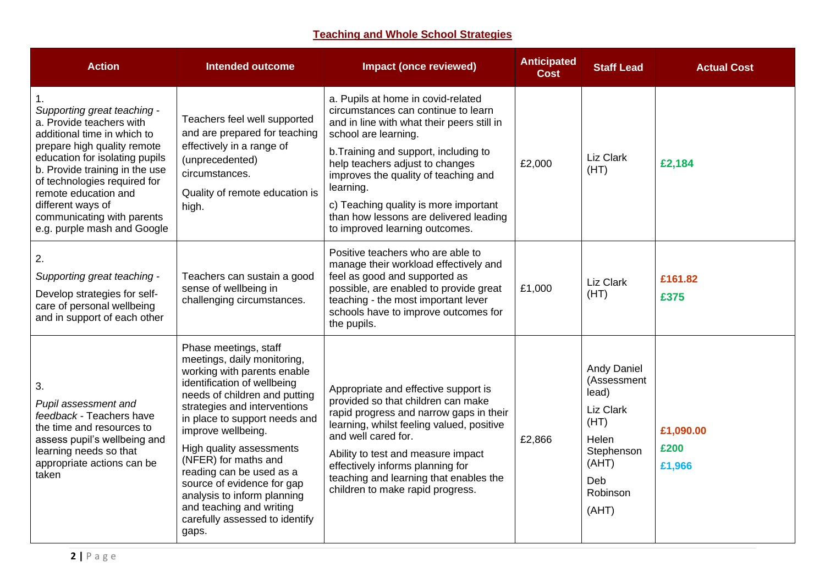# **Teaching and Whole School Strategies**

| <b>Action</b>                                                                                                                                                                                                                                                                                                                       | <b>Intended outcome</b>                                                                                                                                                                                                                                                                                                                                                                                                                                        | <b>Impact (once reviewed)</b>                                                                                                                                                                                                                                                                                                                                                                         | <b>Anticipated</b><br><b>Cost</b> | <b>Staff Lead</b>                                                                                                           | <b>Actual Cost</b>          |
|-------------------------------------------------------------------------------------------------------------------------------------------------------------------------------------------------------------------------------------------------------------------------------------------------------------------------------------|----------------------------------------------------------------------------------------------------------------------------------------------------------------------------------------------------------------------------------------------------------------------------------------------------------------------------------------------------------------------------------------------------------------------------------------------------------------|-------------------------------------------------------------------------------------------------------------------------------------------------------------------------------------------------------------------------------------------------------------------------------------------------------------------------------------------------------------------------------------------------------|-----------------------------------|-----------------------------------------------------------------------------------------------------------------------------|-----------------------------|
| Supporting great teaching -<br>a. Provide teachers with<br>additional time in which to<br>prepare high quality remote<br>education for isolating pupils<br>b. Provide training in the use<br>of technologies required for<br>remote education and<br>different ways of<br>communicating with parents<br>e.g. purple mash and Google | Teachers feel well supported<br>and are prepared for teaching<br>effectively in a range of<br>(unprecedented)<br>circumstances.<br>Quality of remote education is<br>high.                                                                                                                                                                                                                                                                                     | a. Pupils at home in covid-related<br>circumstances can continue to learn<br>and in line with what their peers still in<br>school are learning.<br>b. Training and support, including to<br>help teachers adjust to changes<br>improves the quality of teaching and<br>learning.<br>c) Teaching quality is more important<br>than how lessons are delivered leading<br>to improved learning outcomes. | £2,000                            | Liz Clark<br>(HT)                                                                                                           | £2,184                      |
| 2.<br>Supporting great teaching -<br>Develop strategies for self-<br>care of personal wellbeing<br>and in support of each other                                                                                                                                                                                                     | Teachers can sustain a good<br>sense of wellbeing in<br>challenging circumstances.                                                                                                                                                                                                                                                                                                                                                                             | Positive teachers who are able to<br>manage their workload effectively and<br>feel as good and supported as<br>possible, are enabled to provide great<br>teaching - the most important lever<br>schools have to improve outcomes for<br>the pupils.                                                                                                                                                   | £1,000                            | Liz Clark<br>(HT)                                                                                                           | £161.82<br>£375             |
| 3.<br>Pupil assessment and<br>feedback - Teachers have<br>the time and resources to<br>assess pupil's wellbeing and<br>learning needs so that<br>appropriate actions can be<br>taken                                                                                                                                                | Phase meetings, staff<br>meetings, daily monitoring,<br>working with parents enable<br>identification of wellbeing<br>needs of children and putting<br>strategies and interventions<br>in place to support needs and<br>improve wellbeing.<br>High quality assessments<br>(NFER) for maths and<br>reading can be used as a<br>source of evidence for gap<br>analysis to inform planning<br>and teaching and writing<br>carefully assessed to identify<br>gaps. | Appropriate and effective support is<br>provided so that children can make<br>rapid progress and narrow gaps in their<br>learning, whilst feeling valued, positive<br>and well cared for.<br>Ability to test and measure impact<br>effectively informs planning for<br>teaching and learning that enables the<br>children to make rapid progress.                                                     | £2,866                            | <b>Andy Daniel</b><br>(Assessment<br>lead)<br>Liz Clark<br>(HT)<br>Helen<br>Stephenson<br>(AHT)<br>Deb<br>Robinson<br>(AHT) | £1,090.00<br>£200<br>£1,966 |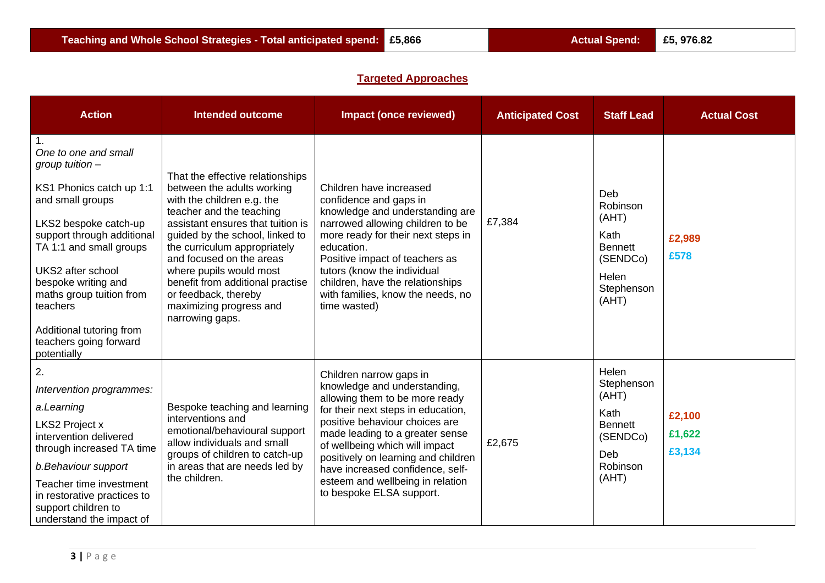# **Targeted Approaches**

| <b>Action</b>                                                                                                                                                                                                                                                                                                                        | <b>Intended outcome</b>                                                                                                                                                                                                                                                                                                                                                                           | <b>Impact (once reviewed)</b>                                                                                                                                                                                                                                                                                                                                                     | <b>Anticipated Cost</b> | <b>Staff Lead</b>                                                                              | <b>Actual Cost</b>         |
|--------------------------------------------------------------------------------------------------------------------------------------------------------------------------------------------------------------------------------------------------------------------------------------------------------------------------------------|---------------------------------------------------------------------------------------------------------------------------------------------------------------------------------------------------------------------------------------------------------------------------------------------------------------------------------------------------------------------------------------------------|-----------------------------------------------------------------------------------------------------------------------------------------------------------------------------------------------------------------------------------------------------------------------------------------------------------------------------------------------------------------------------------|-------------------------|------------------------------------------------------------------------------------------------|----------------------------|
| One to one and small<br>group tuition $-$<br>KS1 Phonics catch up 1:1<br>and small groups<br>LKS2 bespoke catch-up<br>support through additional<br>TA 1:1 and small groups<br>UKS2 after school<br>bespoke writing and<br>maths group tuition from<br>teachers<br>Additional tutoring from<br>teachers going forward<br>potentially | That the effective relationships<br>between the adults working<br>with the children e.g. the<br>teacher and the teaching<br>assistant ensures that tuition is<br>guided by the school, linked to<br>the curriculum appropriately<br>and focused on the areas<br>where pupils would most<br>benefit from additional practise<br>or feedback, thereby<br>maximizing progress and<br>narrowing gaps. | Children have increased<br>confidence and gaps in<br>knowledge and understanding are<br>narrowed allowing children to be<br>more ready for their next steps in<br>education.<br>Positive impact of teachers as<br>tutors (know the individual<br>children, have the relationships<br>with families, know the needs, no<br>time wasted)                                            | £7,384                  | Deb<br>Robinson<br>(AHT)<br>Kath<br><b>Bennett</b><br>(SENDCo)<br>Helen<br>Stephenson<br>(AHT) | £2,989<br>£578             |
| 2.<br>Intervention programmes:<br>a.Learning<br>LKS2 Project x<br>intervention delivered<br>through increased TA time<br>b.Behaviour support<br>Teacher time investment<br>in restorative practices to<br>support children to<br>understand the impact of                                                                            | Bespoke teaching and learning<br>interventions and<br>emotional/behavioural support<br>allow individuals and small<br>groups of children to catch-up<br>in areas that are needs led by<br>the children.                                                                                                                                                                                           | Children narrow gaps in<br>knowledge and understanding,<br>allowing them to be more ready<br>for their next steps in education,<br>positive behaviour choices are<br>made leading to a greater sense<br>of wellbeing which will impact<br>positively on learning and children<br>have increased confidence, self-<br>esteem and wellbeing in relation<br>to bespoke ELSA support. | £2,675                  | Helen<br>Stephenson<br>(AHT)<br>Kath<br><b>Bennett</b><br>(SENDCo)<br>Deb<br>Robinson<br>(AHT) | £2,100<br>£1,622<br>£3,134 |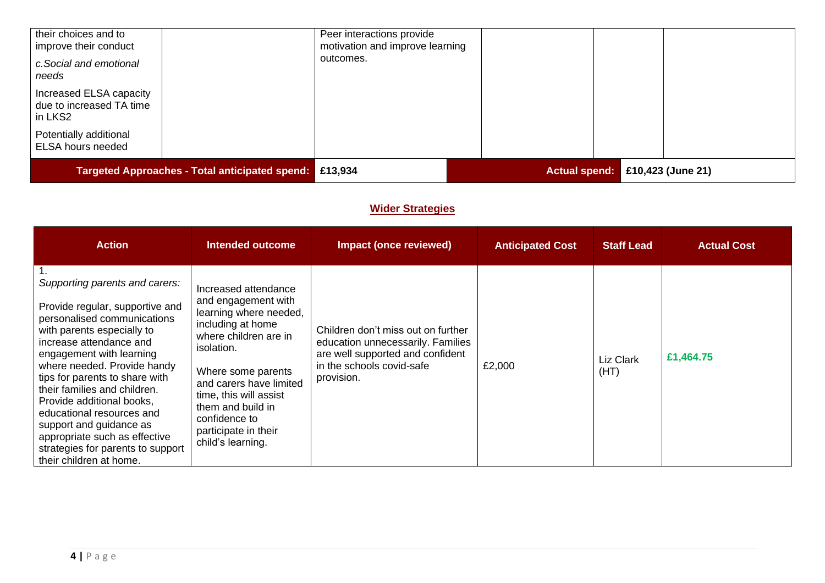| their choices and to<br>improve their conduct                  |  | Peer interactions provide<br>motivation and improve learning |                                 |
|----------------------------------------------------------------|--|--------------------------------------------------------------|---------------------------------|
| c. Social and emotional<br>needs                               |  | outcomes.                                                    |                                 |
| Increased ELSA capacity<br>due to increased TA time<br>in LKS2 |  |                                                              |                                 |
| Potentially additional<br>ELSA hours needed                    |  |                                                              |                                 |
| Targeted Approaches - Total anticipated spend: £13,934         |  |                                                              | Actual spend: £10,423 (June 21) |

### **Wider Strategies**

| <b>Action</b>                                                                                                                                                                                                                                                                                                                                                                                                                                                                | Intended outcome                                                                                                                                                                                                                                                                                | Impact (once reviewed)                                                                                                                                 | <b>Anticipated Cost</b> | <b>Staff Lead</b> | <b>Actual Cost</b> |
|------------------------------------------------------------------------------------------------------------------------------------------------------------------------------------------------------------------------------------------------------------------------------------------------------------------------------------------------------------------------------------------------------------------------------------------------------------------------------|-------------------------------------------------------------------------------------------------------------------------------------------------------------------------------------------------------------------------------------------------------------------------------------------------|--------------------------------------------------------------------------------------------------------------------------------------------------------|-------------------------|-------------------|--------------------|
| Supporting parents and carers:<br>Provide regular, supportive and<br>personalised communications<br>with parents especially to<br>increase attendance and<br>engagement with learning<br>where needed. Provide handy<br>tips for parents to share with<br>their families and children.<br>Provide additional books,<br>educational resources and<br>support and guidance as<br>appropriate such as effective<br>strategies for parents to support<br>their children at home. | Increased attendance<br>and engagement with<br>learning where needed,<br>including at home<br>where children are in<br>isolation.<br>Where some parents<br>and carers have limited<br>time, this will assist<br>them and build in<br>confidence to<br>participate in their<br>child's learning. | Children don't miss out on further<br>education unnecessarily. Families<br>are well supported and confident<br>in the schools covid-safe<br>provision. | £2,000                  | Liz Clark<br>(HT) | £1,464.75          |